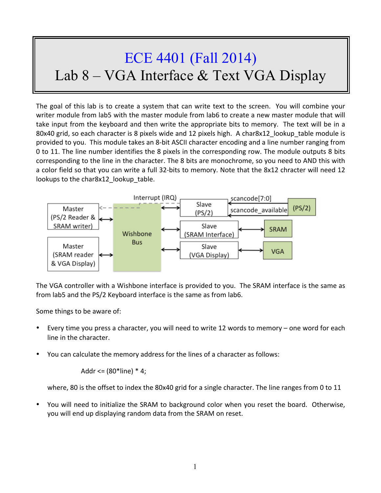## ECE 4401 (Fall 2014) Lab 8 – VGA Interface & Text VGA Display

The goal of this lab is to create a system that can write text to the screen. You will combine your writer module from lab5 with the master module from lab6 to create a new master module that will take input from the keyboard and then write the appropriate bits to memory. The text will be in a 80x40 grid, so each character is 8 pixels wide and 12 pixels high. A char8x12 lookup table module is provided to you. This module takes an 8-bit ASCII character encoding and a line number ranging from 0 to 11. The line number identifies the 8 pixels in the corresponding row. The module outputs 8 bits corresponding to the line in the character. The 8 bits are monochrome, so you need to AND this with a color field so that you can write a full 32-bits to memory. Note that the 8x12 chracter will need 12 lookups to the char8x12 lookup table.



The VGA controller with a Wishbone interface is provided to you. The SRAM interface is the same as from lab5 and the PS/2 Keyboard interface is the same as from lab6.

Some things to be aware of:

- Every time you press a character, you will need to write 12 words to memory one word for each line in the character.
- You can calculate the memory address for the lines of a character as follows:

Addr <=  $(80^*$ line)  $*$  4;

where, 80 is the offset to index the 80x40 grid for a single character. The line ranges from 0 to 11

You will need to initialize the SRAM to background color when you reset the board. Otherwise, you will end up displaying random data from the SRAM on reset.